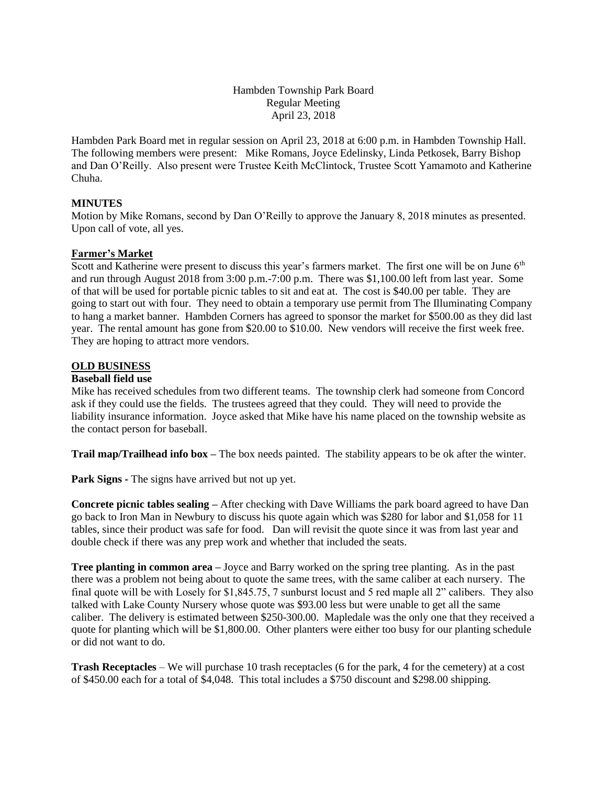Hambden Township Park Board Regular Meeting April 23, 2018

Hambden Park Board met in regular session on April 23, 2018 at 6:00 p.m. in Hambden Township Hall. The following members were present: Mike Romans, Joyce Edelinsky, Linda Petkosek, Barry Bishop and Dan O'Reilly. Also present were Trustee Keith McClintock, Trustee Scott Yamamoto and Katherine Chuha.

## **MINUTES**

Motion by Mike Romans, second by Dan O'Reilly to approve the January 8, 2018 minutes as presented. Upon call of vote, all yes.

## **Farmer's Market**

Scott and Katherine were present to discuss this year's farmers market. The first one will be on June 6<sup>th</sup> and run through August 2018 from 3:00 p.m.-7:00 p.m. There was \$1,100.00 left from last year. Some of that will be used for portable picnic tables to sit and eat at. The cost is \$40.00 per table. They are going to start out with four. They need to obtain a temporary use permit from The Illuminating Company to hang a market banner. Hambden Corners has agreed to sponsor the market for \$500.00 as they did last year. The rental amount has gone from \$20.00 to \$10.00. New vendors will receive the first week free. They are hoping to attract more vendors.

## **OLD BUSINESS**

#### **Baseball field use**

Mike has received schedules from two different teams. The township clerk had someone from Concord ask if they could use the fields. The trustees agreed that they could. They will need to provide the liability insurance information. Joyce asked that Mike have his name placed on the township website as the contact person for baseball.

**Trail map/Trailhead info box –** The box needs painted. The stability appears to be ok after the winter.

**Park Signs -** The signs have arrived but not up yet.

**Concrete picnic tables sealing –** After checking with Dave Williams the park board agreed to have Dan go back to Iron Man in Newbury to discuss his quote again which was \$280 for labor and \$1,058 for 11 tables, since their product was safe for food. Dan will revisit the quote since it was from last year and double check if there was any prep work and whether that included the seats.

**Tree planting in common area –** Joyce and Barry worked on the spring tree planting. As in the past there was a problem not being about to quote the same trees, with the same caliber at each nursery. The final quote will be with Losely for \$1,845.75, 7 sunburst locust and 5 red maple all 2" calibers. They also talked with Lake County Nursery whose quote was \$93.00 less but were unable to get all the same caliber. The delivery is estimated between \$250-300.00. Mapledale was the only one that they received a quote for planting which will be \$1,800.00. Other planters were either too busy for our planting schedule or did not want to do.

**Trash Receptacles** – We will purchase 10 trash receptacles (6 for the park, 4 for the cemetery) at a cost of \$450.00 each for a total of \$4,048. This total includes a \$750 discount and \$298.00 shipping.